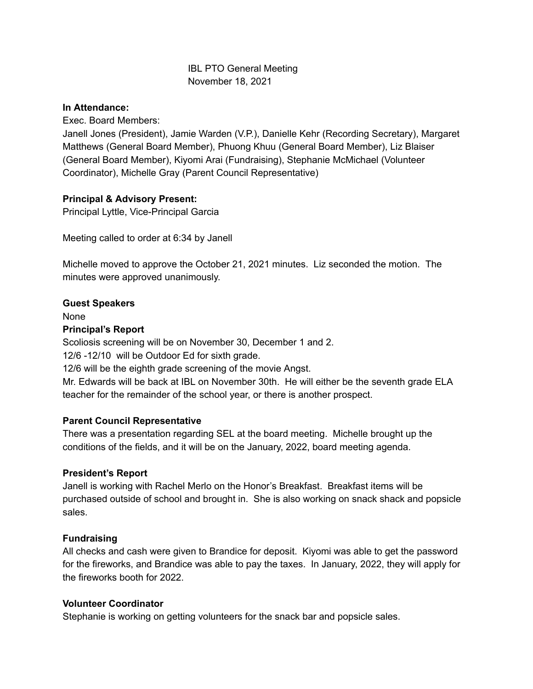## IBL PTO General Meeting November 18, 2021

#### **In Attendance:**

Exec. Board Members:

Janell Jones (President), Jamie Warden (V.P.), Danielle Kehr (Recording Secretary), Margaret Matthews (General Board Member), Phuong Khuu (General Board Member), Liz Blaiser (General Board Member), Kiyomi Arai (Fundraising), Stephanie McMichael (Volunteer Coordinator), Michelle Gray (Parent Council Representative)

## **Principal & Advisory Present:**

Principal Lyttle, Vice-Principal Garcia

Meeting called to order at 6:34 by Janell

Michelle moved to approve the October 21, 2021 minutes. Liz seconded the motion. The minutes were approved unanimously.

### **Guest Speakers**

None

#### **Principal's Report**

Scoliosis screening will be on November 30, December 1 and 2.

12/6 -12/10 will be Outdoor Ed for sixth grade.

12/6 will be the eighth grade screening of the movie Angst.

Mr. Edwards will be back at IBL on November 30th. He will either be the seventh grade ELA teacher for the remainder of the school year, or there is another prospect.

### **Parent Council Representative**

There was a presentation regarding SEL at the board meeting. Michelle brought up the conditions of the fields, and it will be on the January, 2022, board meeting agenda.

### **President's Report**

Janell is working with Rachel Merlo on the Honor's Breakfast. Breakfast items will be purchased outside of school and brought in. She is also working on snack shack and popsicle sales.

### **Fundraising**

All checks and cash were given to Brandice for deposit. Kiyomi was able to get the password for the fireworks, and Brandice was able to pay the taxes. In January, 2022, they will apply for the fireworks booth for 2022.

### **Volunteer Coordinator**

Stephanie is working on getting volunteers for the snack bar and popsicle sales.